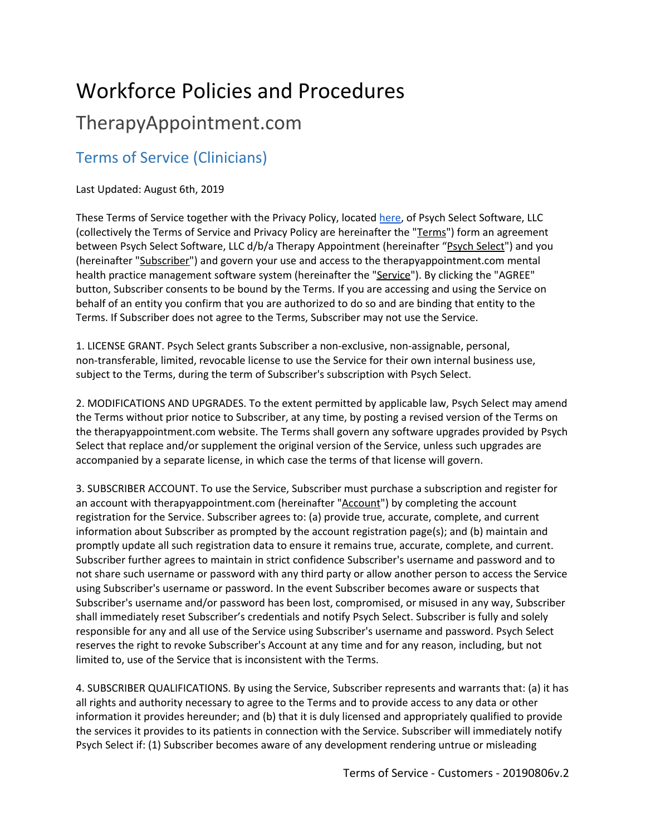# Workforce Policies and Procedures

## TherapyAppointment.com

#### Terms of Service (Clinicians)

#### Last Updated: August 6th, 2019

These Terms of Service together with the Privacy Policy, located [here](https://cdn2.hubspot.net/hubfs/4913696/TherapyAppointment_June2019/Pdf/TherapyAppointment-Privacy-Policy-12-18-2018.pdf), of Psych Select Software, LLC (collectively the Terms of Service and Privacy Policy are hereinafter the "Terms") form an agreement between Psych Select Software, LLC d/b/a Therapy Appointment (hereinafter "Psych Select") and you (hereinafter "Subscriber") and govern your use and access to the therapyappointment.com mental health practice management software system (hereinafter the "Service"). By clicking the "AGREE" button, Subscriber consents to be bound by the Terms. If you are accessing and using the Service on behalf of an entity you confirm that you are authorized to do so and are binding that entity to the Terms. If Subscriber does not agree to the Terms, Subscriber may not use the Service.

1. LICENSE GRANT. Psych Select grants Subscriber a non-exclusive, non-assignable, personal, non-transferable, limited, revocable license to use the Service for their own internal business use, subject to the Terms, during the term of Subscriber's subscription with Psych Select.

2. MODIFICATIONS AND UPGRADES. To the extent permitted by applicable law, Psych Select may amend the Terms without prior notice to Subscriber, at any time, by posting a revised version of the Terms on the therapyappointment.com website. The Terms shall govern any software upgrades provided by Psych Select that replace and/or supplement the original version of the Service, unless such upgrades are accompanied by a separate license, in which case the terms of that license will govern.

3. SUBSCRIBER ACCOUNT. To use the Service, Subscriber must purchase a subscription and register for an account with therapyappointment.com (hereinafter "Account") by completing the account registration for the Service. Subscriber agrees to: (a) provide true, accurate, complete, and current information about Subscriber as prompted by the account registration page(s); and (b) maintain and promptly update all such registration data to ensure it remains true, accurate, complete, and current. Subscriber further agrees to maintain in strict confidence Subscriber's username and password and to not share such username or password with any third party or allow another person to access the Service using Subscriber's username or password. In the event Subscriber becomes aware or suspects that Subscriber's username and/or password has been lost, compromised, or misused in any way, Subscriber shall immediately reset Subscriber's credentials and notify Psych Select. Subscriber is fully and solely responsible for any and all use of the Service using Subscriber's username and password. Psych Select reserves the right to revoke Subscriber's Account at any time and for any reason, including, but not limited to, use of the Service that is inconsistent with the Terms.

4. SUBSCRIBER QUALIFICATIONS. By using the Service, Subscriber represents and warrants that: (a) it has all rights and authority necessary to agree to the Terms and to provide access to any data or other information it provides hereunder; and (b) that it is duly licensed and appropriately qualified to provide the services it provides to its patients in connection with the Service. Subscriber will immediately notify Psych Select if: (1) Subscriber becomes aware of any development rendering untrue or misleading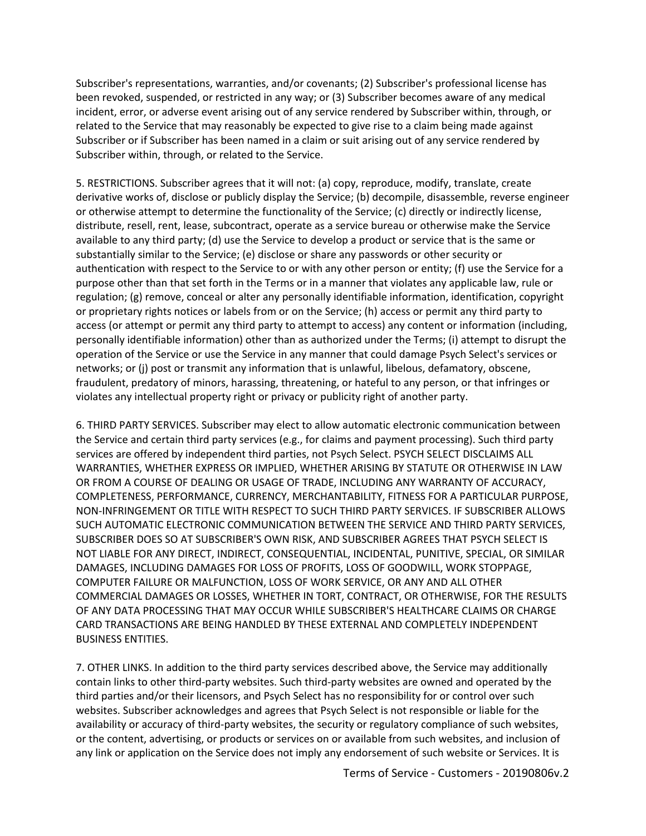Subscriber's representations, warranties, and/or covenants; (2) Subscriber's professional license has been revoked, suspended, or restricted in any way; or (3) Subscriber becomes aware of any medical incident, error, or adverse event arising out of any service rendered by Subscriber within, through, or related to the Service that may reasonably be expected to give rise to a claim being made against Subscriber or if Subscriber has been named in a claim or suit arising out of any service rendered by Subscriber within, through, or related to the Service.

5. RESTRICTIONS. Subscriber agrees that it will not: (a) copy, reproduce, modify, translate, create derivative works of, disclose or publicly display the Service; (b) decompile, disassemble, reverse engineer or otherwise attempt to determine the functionality of the Service; (c) directly or indirectly license, distribute, resell, rent, lease, subcontract, operate as a service bureau or otherwise make the Service available to any third party; (d) use the Service to develop a product or service that is the same or substantially similar to the Service; (e) disclose or share any passwords or other security or authentication with respect to the Service to or with any other person or entity; (f) use the Service for a purpose other than that set forth in the Terms or in a manner that violates any applicable law, rule or regulation; (g) remove, conceal or alter any personally identifiable information, identification, copyright or proprietary rights notices or labels from or on the Service; (h) access or permit any third party to access (or attempt or permit any third party to attempt to access) any content or information (including, personally identifiable information) other than as authorized under the Terms; (i) attempt to disrupt the operation of the Service or use the Service in any manner that could damage Psych Select's services or networks; or (j) post or transmit any information that is unlawful, libelous, defamatory, obscene, fraudulent, predatory of minors, harassing, threatening, or hateful to any person, or that infringes or violates any intellectual property right or privacy or publicity right of another party.

6. THIRD PARTY SERVICES. Subscriber may elect to allow automatic electronic communication between the Service and certain third party services (e.g., for claims and payment processing). Such third party services are offered by independent third parties, not Psych Select. PSYCH SELECT DISCLAIMS ALL WARRANTIES, WHETHER EXPRESS OR IMPLIED, WHETHER ARISING BY STATUTE OR OTHERWISE IN LAW OR FROM A COURSE OF DEALING OR USAGE OF TRADE, INCLUDING ANY WARRANTY OF ACCURACY, COMPLETENESS, PERFORMANCE, CURRENCY, MERCHANTABILITY, FITNESS FOR A PARTICULAR PURPOSE, NON-INFRINGEMENT OR TITLE WITH RESPECT TO SUCH THIRD PARTY SERVICES. IF SUBSCRIBER ALLOWS SUCH AUTOMATIC ELECTRONIC COMMUNICATION BETWEEN THE SERVICE AND THIRD PARTY SERVICES, SUBSCRIBER DOES SO AT SUBSCRIBER'S OWN RISK, AND SUBSCRIBER AGREES THAT PSYCH SELECT IS NOT LIABLE FOR ANY DIRECT, INDIRECT, CONSEQUENTIAL, INCIDENTAL, PUNITIVE, SPECIAL, OR SIMILAR DAMAGES, INCLUDING DAMAGES FOR LOSS OF PROFITS, LOSS OF GOODWILL, WORK STOPPAGE, COMPUTER FAILURE OR MALFUNCTION, LOSS OF WORK SERVICE, OR ANY AND ALL OTHER COMMERCIAL DAMAGES OR LOSSES, WHETHER IN TORT, CONTRACT, OR OTHERWISE, FOR THE RESULTS OF ANY DATA PROCESSING THAT MAY OCCUR WHILE SUBSCRIBER'S HEALTHCARE CLAIMS OR CHARGE CARD TRANSACTIONS ARE BEING HANDLED BY THESE EXTERNAL AND COMPLETELY INDEPENDENT BUSINESS ENTITIES.

7. OTHER LINKS. In addition to the third party services described above, the Service may additionally contain links to other third-party websites. Such third-party websites are owned and operated by the third parties and/or their licensors, and Psych Select has no responsibility for or control over such websites. Subscriber acknowledges and agrees that Psych Select is not responsible or liable for the availability or accuracy of third-party websites, the security or regulatory compliance of such websites, or the content, advertising, or products or services on or available from such websites, and inclusion of any link or application on the Service does not imply any endorsement of such website or Services. It is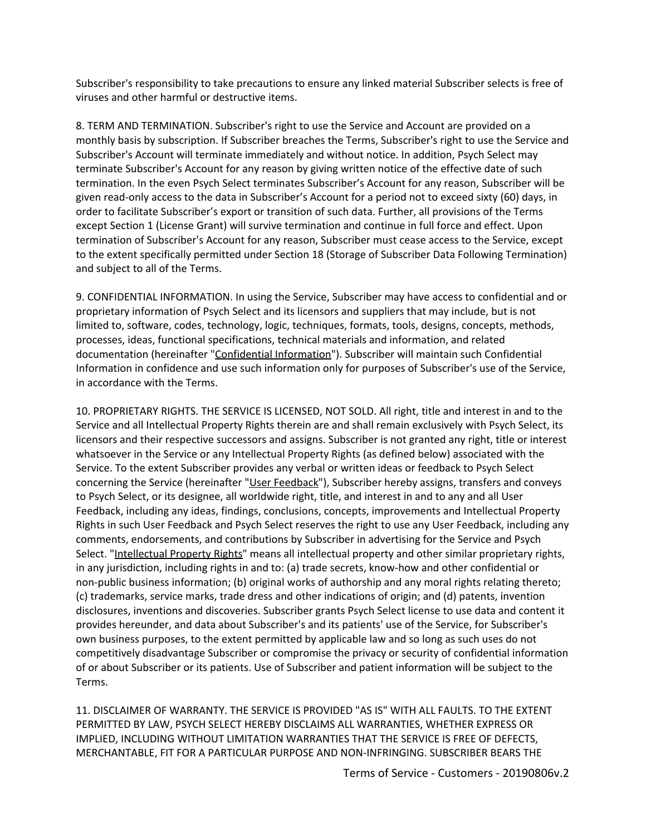Subscriber's responsibility to take precautions to ensure any linked material Subscriber selects is free of viruses and other harmful or destructive items.

8. TERM AND TERMINATION. Subscriber's right to use the Service and Account are provided on a monthly basis by subscription. If Subscriber breaches the Terms, Subscriber's right to use the Service and Subscriber's Account will terminate immediately and without notice. In addition, Psych Select may terminate Subscriber's Account for any reason by giving written notice of the effective date of such termination. In the even Psych Select terminates Subscriber's Account for any reason, Subscriber will be given read-only access to the data in Subscriber's Account for a period not to exceed sixty (60) days, in order to facilitate Subscriber's export or transition of such data. Further, all provisions of the Terms except Section 1 (License Grant) will survive termination and continue in full force and effect. Upon termination of Subscriber's Account for any reason, Subscriber must cease access to the Service, except to the extent specifically permitted under Section 18 (Storage of Subscriber Data Following Termination) and subject to all of the Terms.

9. CONFIDENTIAL INFORMATION. In using the Service, Subscriber may have access to confidential and or proprietary information of Psych Select and its licensors and suppliers that may include, but is not limited to, software, codes, technology, logic, techniques, formats, tools, designs, concepts, methods, processes, ideas, functional specifications, technical materials and information, and related documentation (hereinafter "Confidential Information"). Subscriber will maintain such Confidential Information in confidence and use such information only for purposes of Subscriber's use of the Service, in accordance with the Terms.

10. PROPRIETARY RIGHTS. THE SERVICE IS LICENSED, NOT SOLD. All right, title and interest in and to the Service and all Intellectual Property Rights therein are and shall remain exclusively with Psych Select, its licensors and their respective successors and assigns. Subscriber is not granted any right, title or interest whatsoever in the Service or any Intellectual Property Rights (as defined below) associated with the Service. To the extent Subscriber provides any verbal or written ideas or feedback to Psych Select concerning the Service (hereinafter "User Feedback"), Subscriber hereby assigns, transfers and conveys to Psych Select, or its designee, all worldwide right, title, and interest in and to any and all User Feedback, including any ideas, findings, conclusions, concepts, improvements and Intellectual Property Rights in such User Feedback and Psych Select reserves the right to use any User Feedback, including any comments, endorsements, and contributions by Subscriber in advertising for the Service and Psych Select. "Intellectual Property Rights" means all intellectual property and other similar proprietary rights, in any jurisdiction, including rights in and to: (a) trade secrets, know-how and other confidential or non-public business information; (b) original works of authorship and any moral rights relating thereto; (c) trademarks, service marks, trade dress and other indications of origin; and (d) patents, invention disclosures, inventions and discoveries. Subscriber grants Psych Select license to use data and content it provides hereunder, and data about Subscriber's and its patients' use of the Service, for Subscriber's own business purposes, to the extent permitted by applicable law and so long as such uses do not competitively disadvantage Subscriber or compromise the privacy or security of confidential information of or about Subscriber or its patients. Use of Subscriber and patient information will be subject to the Terms.

11. DISCLAIMER OF WARRANTY. THE SERVICE IS PROVIDED "AS IS" WITH ALL FAULTS. TO THE EXTENT PERMITTED BY LAW, PSYCH SELECT HEREBY DISCLAIMS ALL WARRANTIES, WHETHER EXPRESS OR IMPLIED, INCLUDING WITHOUT LIMITATION WARRANTIES THAT THE SERVICE IS FREE OF DEFECTS, MERCHANTABLE, FIT FOR A PARTICULAR PURPOSE AND NON-INFRINGING. SUBSCRIBER BEARS THE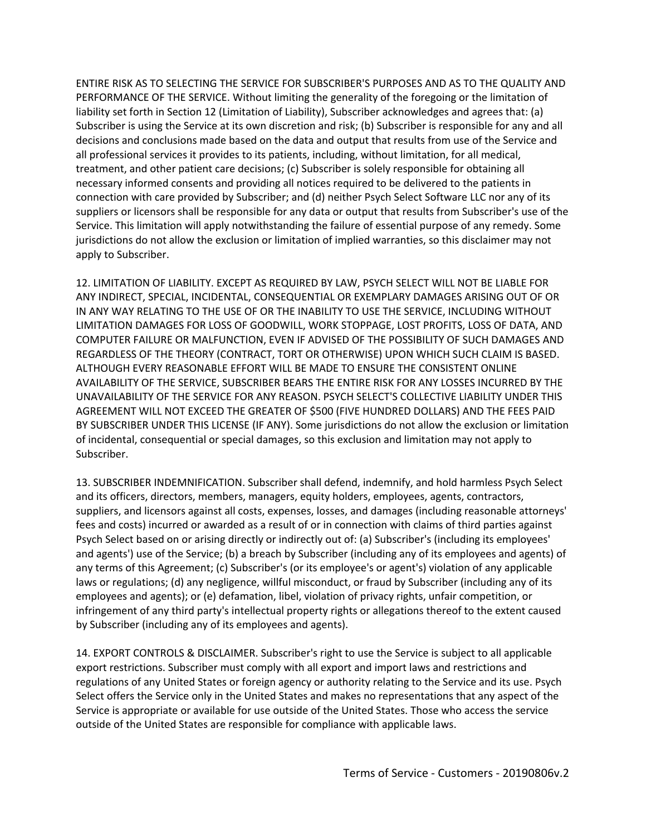ENTIRE RISK AS TO SELECTING THE SERVICE FOR SUBSCRIBER'S PURPOSES AND AS TO THE QUALITY AND PERFORMANCE OF THE SERVICE. Without limiting the generality of the foregoing or the limitation of liability set forth in Section 12 (Limitation of Liability), Subscriber acknowledges and agrees that: (a) Subscriber is using the Service at its own discretion and risk; (b) Subscriber is responsible for any and all decisions and conclusions made based on the data and output that results from use of the Service and all professional services it provides to its patients, including, without limitation, for all medical, treatment, and other patient care decisions; (c) Subscriber is solely responsible for obtaining all necessary informed consents and providing all notices required to be delivered to the patients in connection with care provided by Subscriber; and (d) neither Psych Select Software LLC nor any of its suppliers or licensors shall be responsible for any data or output that results from Subscriber's use of the Service. This limitation will apply notwithstanding the failure of essential purpose of any remedy. Some jurisdictions do not allow the exclusion or limitation of implied warranties, so this disclaimer may not apply to Subscriber.

12. LIMITATION OF LIABILITY. EXCEPT AS REQUIRED BY LAW, PSYCH SELECT WILL NOT BE LIABLE FOR ANY INDIRECT, SPECIAL, INCIDENTAL, CONSEQUENTIAL OR EXEMPLARY DAMAGES ARISING OUT OF OR IN ANY WAY RELATING TO THE USE OF OR THE INABILITY TO USE THE SERVICE, INCLUDING WITHOUT LIMITATION DAMAGES FOR LOSS OF GOODWILL, WORK STOPPAGE, LOST PROFITS, LOSS OF DATA, AND COMPUTER FAILURE OR MALFUNCTION, EVEN IF ADVISED OF THE POSSIBILITY OF SUCH DAMAGES AND REGARDLESS OF THE THEORY (CONTRACT, TORT OR OTHERWISE) UPON WHICH SUCH CLAIM IS BASED. ALTHOUGH EVERY REASONABLE EFFORT WILL BE MADE TO ENSURE THE CONSISTENT ONLINE AVAILABILITY OF THE SERVICE, SUBSCRIBER BEARS THE ENTIRE RISK FOR ANY LOSSES INCURRED BY THE UNAVAILABILITY OF THE SERVICE FOR ANY REASON. PSYCH SELECT'S COLLECTIVE LIABILITY UNDER THIS AGREEMENT WILL NOT EXCEED THE GREATER OF \$500 (FIVE HUNDRED DOLLARS) AND THE FEES PAID BY SUBSCRIBER UNDER THIS LICENSE (IF ANY). Some jurisdictions do not allow the exclusion or limitation of incidental, consequential or special damages, so this exclusion and limitation may not apply to Subscriber.

13. SUBSCRIBER INDEMNIFICATION. Subscriber shall defend, indemnify, and hold harmless Psych Select and its officers, directors, members, managers, equity holders, employees, agents, contractors, suppliers, and licensors against all costs, expenses, losses, and damages (including reasonable attorneys' fees and costs) incurred or awarded as a result of or in connection with claims of third parties against Psych Select based on or arising directly or indirectly out of: (a) Subscriber's (including its employees' and agents') use of the Service; (b) a breach by Subscriber (including any of its employees and agents) of any terms of this Agreement; (c) Subscriber's (or its employee's or agent's) violation of any applicable laws or regulations; (d) any negligence, willful misconduct, or fraud by Subscriber (including any of its employees and agents); or (e) defamation, libel, violation of privacy rights, unfair competition, or infringement of any third party's intellectual property rights or allegations thereof to the extent caused by Subscriber (including any of its employees and agents).

14. EXPORT CONTROLS & DISCLAIMER. Subscriber's right to use the Service is subject to all applicable export restrictions. Subscriber must comply with all export and import laws and restrictions and regulations of any United States or foreign agency or authority relating to the Service and its use. Psych Select offers the Service only in the United States and makes no representations that any aspect of the Service is appropriate or available for use outside of the United States. Those who access the service outside of the United States are responsible for compliance with applicable laws.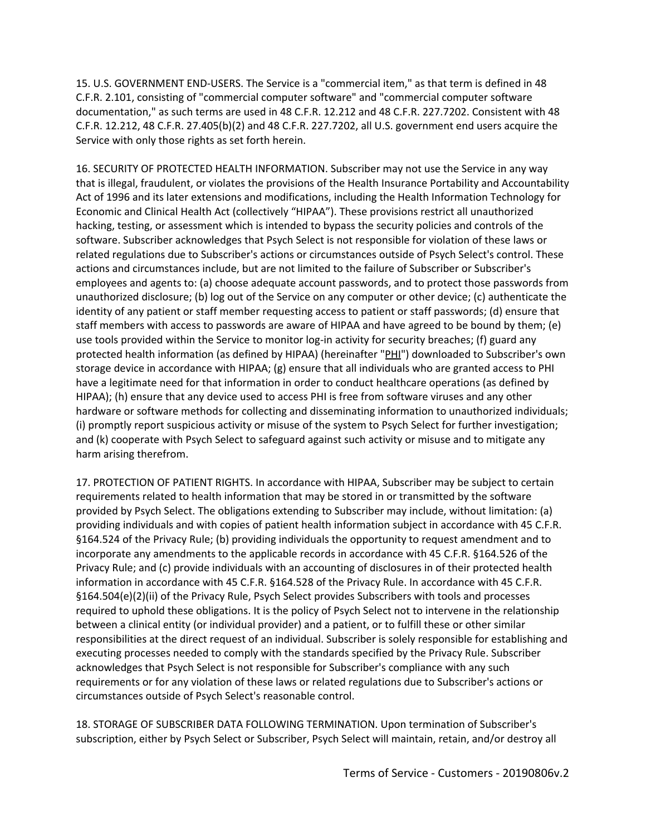15. U.S. GOVERNMENT END-USERS. The Service is a "commercial item," as that term is defined in 48 C.F.R. 2.101, consisting of "commercial computer software" and "commercial computer software documentation," as such terms are used in 48 C.F.R. 12.212 and 48 C.F.R. 227.7202. Consistent with 48 C.F.R. 12.212, 48 C.F.R. 27.405(b)(2) and 48 C.F.R. 227.7202, all U.S. government end users acquire the Service with only those rights as set forth herein.

16. SECURITY OF PROTECTED HEALTH INFORMATION. Subscriber may not use the Service in any way that is illegal, fraudulent, or violates the provisions of the Health Insurance Portability and Accountability Act of 1996 and its later extensions and modifications, including the Health Information Technology for Economic and Clinical Health Act (collectively "HIPAA"). These provisions restrict all unauthorized hacking, testing, or assessment which is intended to bypass the security policies and controls of the software. Subscriber acknowledges that Psych Select is not responsible for violation of these laws or related regulations due to Subscriber's actions or circumstances outside of Psych Select's control. These actions and circumstances include, but are not limited to the failure of Subscriber or Subscriber's employees and agents to: (a) choose adequate account passwords, and to protect those passwords from unauthorized disclosure; (b) log out of the Service on any computer or other device; (c) authenticate the identity of any patient or staff member requesting access to patient or staff passwords; (d) ensure that staff members with access to passwords are aware of HIPAA and have agreed to be bound by them; (e) use tools provided within the Service to monitor log-in activity for security breaches; (f) guard any protected health information (as defined by HIPAA) (hereinafter "PHI") downloaded to Subscriber's own storage device in accordance with HIPAA; (g) ensure that all individuals who are granted access to PHI have a legitimate need for that information in order to conduct healthcare operations (as defined by HIPAA); (h) ensure that any device used to access PHI is free from software viruses and any other hardware or software methods for collecting and disseminating information to unauthorized individuals; (i) promptly report suspicious activity or misuse of the system to Psych Select for further investigation; and (k) cooperate with Psych Select to safeguard against such activity or misuse and to mitigate any harm arising therefrom.

17. PROTECTION OF PATIENT RIGHTS. In accordance with HIPAA, Subscriber may be subject to certain requirements related to health information that may be stored in or transmitted by the software provided by Psych Select. The obligations extending to Subscriber may include, without limitation: (a) providing individuals and with copies of patient health information subject in accordance with 45 C.F.R. §164.524 of the Privacy Rule; (b) providing individuals the opportunity to request amendment and to incorporate any amendments to the applicable records in accordance with 45 C.F.R. §164.526 of the Privacy Rule; and (c) provide individuals with an accounting of disclosures in of their protected health information in accordance with 45 C.F.R. §164.528 of the Privacy Rule. In accordance with 45 C.F.R. §164.504(e)(2)(ii) of the Privacy Rule, Psych Select provides Subscribers with tools and processes required to uphold these obligations. It is the policy of Psych Select not to intervene in the relationship between a clinical entity (or individual provider) and a patient, or to fulfill these or other similar responsibilities at the direct request of an individual. Subscriber is solely responsible for establishing and executing processes needed to comply with the standards specified by the Privacy Rule. Subscriber acknowledges that Psych Select is not responsible for Subscriber's compliance with any such requirements or for any violation of these laws or related regulations due to Subscriber's actions or circumstances outside of Psych Select's reasonable control.

18. STORAGE OF SUBSCRIBER DATA FOLLOWING TERMINATION. Upon termination of Subscriber's subscription, either by Psych Select or Subscriber, Psych Select will maintain, retain, and/or destroy all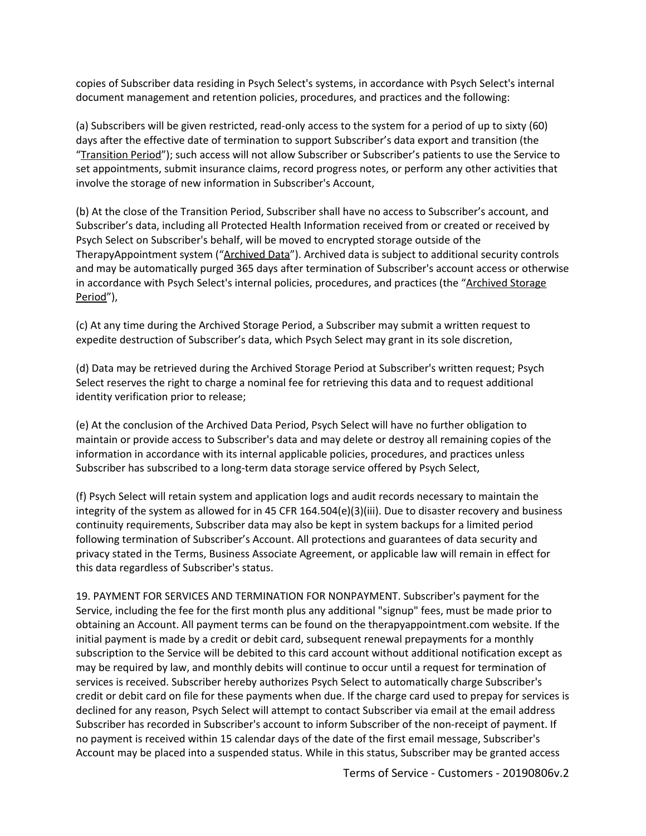copies of Subscriber data residing in Psych Select's systems, in accordance with Psych Select's internal document management and retention policies, procedures, and practices and the following:

(a) Subscribers will be given restricted, read-only access to the system for a period of up to sixty (60) days after the effective date of termination to support Subscriber's data export and transition (the "Transition Period"); such access will not allow Subscriber or Subscriber's patients to use the Service to set appointments, submit insurance claims, record progress notes, or perform any other activities that involve the storage of new information in Subscriber's Account,

(b) At the close of the Transition Period, Subscriber shall have no access to Subscriber's account, and Subscriber's data, including all Protected Health Information received from or created or received by Psych Select on Subscriber's behalf, will be moved to encrypted storage outside of the TherapyAppointment system ("Archived Data"). Archived data is subject to additional security controls and may be automatically purged 365 days after termination of Subscriber's account access or otherwise in accordance with Psych Select's internal policies, procedures, and practices (the "Archived Storage Period"),

(c) At any time during the Archived Storage Period, a Subscriber may submit a written request to expedite destruction of Subscriber's data, which Psych Select may grant in its sole discretion,

(d) Data may be retrieved during the Archived Storage Period at Subscriber's written request; Psych Select reserves the right to charge a nominal fee for retrieving this data and to request additional identity verification prior to release;

(e) At the conclusion of the Archived Data Period, Psych Select will have no further obligation to maintain or provide access to Subscriber's data and may delete or destroy all remaining copies of the information in accordance with its internal applicable policies, procedures, and practices unless Subscriber has subscribed to a long-term data storage service offered by Psych Select,

(f) Psych Select will retain system and application logs and audit records necessary to maintain the integrity of the system as allowed for in 45 CFR 164.504(e)(3)(iii). Due to disaster recovery and business continuity requirements, Subscriber data may also be kept in system backups for a limited period following termination of Subscriber's Account. All protections and guarantees of data security and privacy stated in the Terms, Business Associate Agreement, or applicable law will remain in effect for this data regardless of Subscriber's status.

19. PAYMENT FOR SERVICES AND TERMINATION FOR NONPAYMENT. Subscriber's payment for the Service, including the fee for the first month plus any additional "signup" fees, must be made prior to obtaining an Account. All payment terms can be found on the therapyappointment.com website. If the initial payment is made by a credit or debit card, subsequent renewal prepayments for a monthly subscription to the Service will be debited to this card account without additional notification except as may be required by law, and monthly debits will continue to occur until a request for termination of services is received. Subscriber hereby authorizes Psych Select to automatically charge Subscriber's credit or debit card on file for these payments when due. If the charge card used to prepay for services is declined for any reason, Psych Select will attempt to contact Subscriber via email at the email address Subscriber has recorded in Subscriber's account to inform Subscriber of the non-receipt of payment. If no payment is received within 15 calendar days of the date of the first email message, Subscriber's Account may be placed into a suspended status. While in this status, Subscriber may be granted access

Terms of Service - Customers - 20190806v.2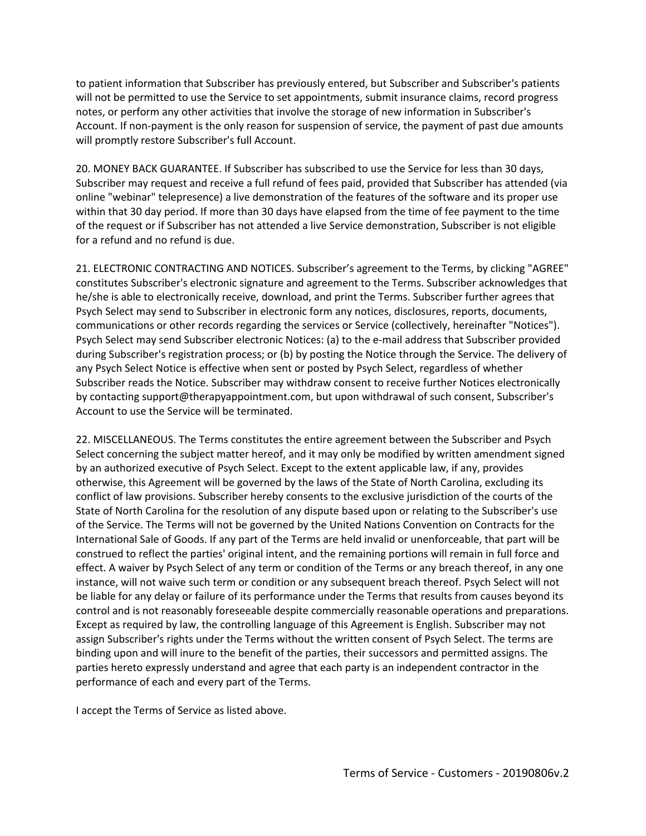to patient information that Subscriber has previously entered, but Subscriber and Subscriber's patients will not be permitted to use the Service to set appointments, submit insurance claims, record progress notes, or perform any other activities that involve the storage of new information in Subscriber's Account. If non-payment is the only reason for suspension of service, the payment of past due amounts will promptly restore Subscriber's full Account.

20. MONEY BACK GUARANTEE. If Subscriber has subscribed to use the Service for less than 30 days, Subscriber may request and receive a full refund of fees paid, provided that Subscriber has attended (via online "webinar" telepresence) a live demonstration of the features of the software and its proper use within that 30 day period. If more than 30 days have elapsed from the time of fee payment to the time of the request or if Subscriber has not attended a live Service demonstration, Subscriber is not eligible for a refund and no refund is due.

21. ELECTRONIC CONTRACTING AND NOTICES. Subscriber's agreement to the Terms, by clicking "AGREE" constitutes Subscriber's electronic signature and agreement to the Terms. Subscriber acknowledges that he/she is able to electronically receive, download, and print the Terms. Subscriber further agrees that Psych Select may send to Subscriber in electronic form any notices, disclosures, reports, documents, communications or other records regarding the services or Service (collectively, hereinafter "Notices"). Psych Select may send Subscriber electronic Notices: (a) to the e-mail address that Subscriber provided during Subscriber's registration process; or (b) by posting the Notice through the Service. The delivery of any Psych Select Notice is effective when sent or posted by Psych Select, regardless of whether Subscriber reads the Notice. Subscriber may withdraw consent to receive further Notices electronically by contacting support@therapyappointment.com, but upon withdrawal of such consent, Subscriber's Account to use the Service will be terminated.

22. MISCELLANEOUS. The Terms constitutes the entire agreement between the Subscriber and Psych Select concerning the subject matter hereof, and it may only be modified by written amendment signed by an authorized executive of Psych Select. Except to the extent applicable law, if any, provides otherwise, this Agreement will be governed by the laws of the State of North Carolina, excluding its conflict of law provisions. Subscriber hereby consents to the exclusive jurisdiction of the courts of the State of North Carolina for the resolution of any dispute based upon or relating to the Subscriber's use of the Service. The Terms will not be governed by the United Nations Convention on Contracts for the International Sale of Goods. If any part of the Terms are held invalid or unenforceable, that part will be construed to reflect the parties' original intent, and the remaining portions will remain in full force and effect. A waiver by Psych Select of any term or condition of the Terms or any breach thereof, in any one instance, will not waive such term or condition or any subsequent breach thereof. Psych Select will not be liable for any delay or failure of its performance under the Terms that results from causes beyond its control and is not reasonably foreseeable despite commercially reasonable operations and preparations. Except as required by law, the controlling language of this Agreement is English. Subscriber may not assign Subscriber's rights under the Terms without the written consent of Psych Select. The terms are binding upon and will inure to the benefit of the parties, their successors and permitted assigns. The parties hereto expressly understand and agree that each party is an independent contractor in the performance of each and every part of the Terms.

I accept the Terms of Service as listed above.